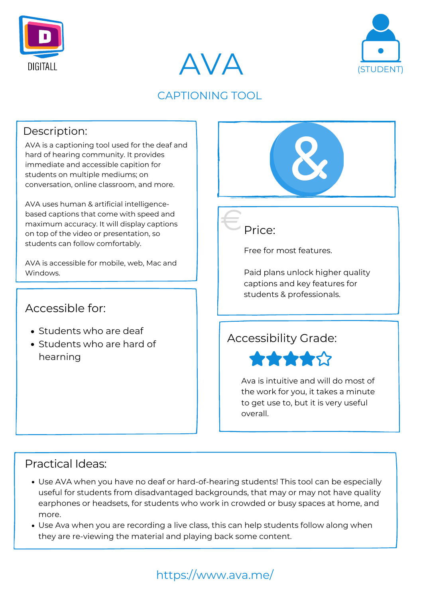



### Practical Ideas:

### Accessible for:





### CAPTIONING TOOL

### Description:



AVA is a captioning tool used for the deaf and hard of hearing community. It provides immediate and accessible capition for students on multiple mediums; on conversation, online classroom, and more.

- Students who are deaf
- Students who are hard of hearning

AVA uses human & artificial intelligencebased captions that come with speed and maximum accuracy. It will display captions on top of the video or presentation, so students can follow comfortably.

AVA is accessible for mobile, web, Mac and Windows.

Free for most features.

Paid plans unlock higher quality captions and key features for students & professionals.

- Use AVA when you have no deaf or hard-of-hearing students! This tool can be especially useful for students from disadvantaged backgrounds, that may or may not have quality earphones or headsets, for students who work in crowded or busy spaces at home, and more.
- Use Ava when you are recording a live class, this can help students follow along when they are re-viewing the material and playing back some content.

https://www.ava.me/

### Accessibility Grade:



Ava is intuitive and will do most of the work for you, it takes a minute to get use to, but it is very useful overall.